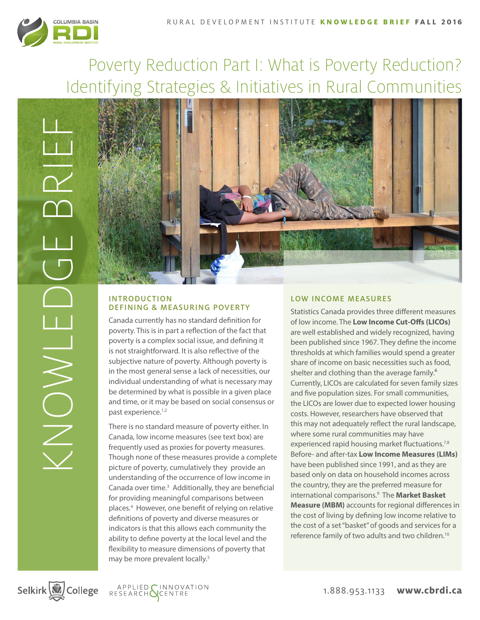

# Poverty Reduction Part I: What is Poverty Reduction? Identifying Strategies & Initiatives in Rural Communities



# INTRODUCTION DEFINING & MEASURING POVERTY

Canada currently has no standard definition for poverty. This is in part a reflection of the fact that poverty is a complex social issue, and defining it is not straightforward. It is also reflective of the subjective nature of poverty. Although poverty is in the most general sense a lack of necessities, our individual understanding of what is necessary may be determined by what is possible in a given place and time, or it may be based on social consensus or past experience.<sup>1,2</sup>

There is no standard measure of poverty either. In Canada, low income measures (see text box) are frequently used as proxies for poverty measures. Though none of these measures provide a complete picture of poverty, cumulatively they provide an understanding of the occurrence of low income in Canada over time.<sup>3</sup> Additionally, they are beneficial for providing meaningful comparisons between places.4 However, one benefit of relying on relative definitions of poverty and diverse measures or indicators is that this allows each community the ability to define poverty at the local level and the flexibility to measure dimensions of poverty that may be more prevalent locally.<sup>5</sup>

## LOW INCOME MEASURES

Statistics Canada provides three different measures of low income. The **Low Income Cut-Offs (LICOs)** are well established and widely recognized, having been published since 1967. They define the income thresholds at which families would spend a greater share of income on basic necessities such as food, shelter and clothing than the average family.<sup>6</sup> Currently, LICOs are calculated for seven family sizes and five population sizes. For small communities, the LICOs are lower due to expected lower housing costs. However, researchers have observed that this may not adequately reflect the rural landscape, where some rural communities may have experienced rapid housing market fluctuations.<sup>7,8</sup> Before- and after-tax **Low Income Measures (LIMs)** have been published since 1991, and as they are based only on data on household incomes across the country, they are the preferred measure for international comparisons.9 The **Market Basket Measure (MBM)** accounts for regional differences in the cost of living by defining low income relative to the cost of a set "basket" of goods and services for a reference family of two adults and two children.<sup>10</sup>

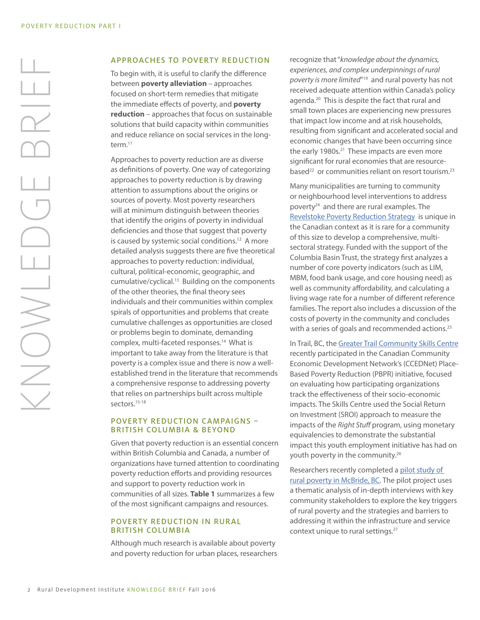# KNOWLEDGE BRIEF BRIE ONOWS

### APPROACHES TO POVERTY REDUCTION

To begin with, it is useful to clarify the difference between **poverty alleviation** – approaches focused on short-term remedies that mitigate the immediate effects of poverty, and **poverty reduction** – approaches that focus on sustainable solutions that build capacity within communities and reduce reliance on social services in the longterm.11

Approaches to poverty reduction are as diverse as definitions of poverty. One way of categorizing approaches to poverty reduction is by drawing attention to assumptions about the origins or sources of poverty. Most poverty researchers will at minimum distinguish between theories that identify the origins of poverty in individual deficiencies and those that suggest that poverty is caused by systemic social conditions.<sup>12</sup> A more detailed analysis suggests there are five theoretical approaches to poverty reduction: individual, cultural, political-economic, geographic, and cumulative/cyclical.13 Building on the components of the other theories, the final theory sees individuals and their communities within complex spirals of opportunities and problems that create cumulative challenges as opportunities are closed or problems begin to dominate, demanding complex, multi-faceted responses.14 What is important to take away from the literature is that poverty is a complex issue and there is now a wellestablished trend in the literature that recommends a comprehensive response to addressing poverty that relies on partnerships built across multiple sectors.15-18

### POVERTY REDUCTION CAMPAIGNS – BRITISH COLUMBIA & BEYOND

Given that poverty reduction is an essential concern within British Columbia and Canada, a number of organizations have turned attention to coordinating poverty reduction efforts and providing resources and support to poverty reduction work in communities of all sizes. **Table 1** summarizes a few of the most significant campaigns and resources.

### POVERTY REDUCTION IN RURAL BRITISH COLUMBIA

Although much research is available about poverty and poverty reduction for urban places, researchers recognize that "*knowledge about the dynamics, experiences, and complex underpinnings of rural poverty is more limited*"19 and rural poverty has not received adequate attention within Canada's policy agenda.20 This is despite the fact that rural and small town places are experiencing new pressures that impact low income and at risk households, resulting from significant and accelerated social and economic changes that have been occurring since the early 1980s.<sup>21</sup> These impacts are even more significant for rural economies that are resourcebased<sup>22</sup> or communities reliant on resort tourism.<sup>23</sup>

Many municipalities are turning to community or neighbourhood level interventions to address poverty24 and there are rural examples. The [Revelstoke Poverty Reduction Strategy](http://www.revelstokesocialdevelopment.org/wp-content/uploads/2013/04/Rev-Poverty-Strategy.pdf) is unique in the Canadian context as it is rare for a community of this size to develop a comprehensive, multisectoral strategy. Funded with the support of the Columbia Basin Trust, the strategy first analyzes a number of core poverty indicators (such as LIM, MBM, food bank usage, and core housing need) as well as community affordability, and calculating a living wage rate for a number of different reference families. The report also includes a discussion of the costs of poverty in the community and concludes with a series of goals and recommended actions.<sup>25</sup>

In Trail, BC, the [Greater Trail Community Skills Centre](https://ccednet-rcdec.ca/en/page/poverty-reduction) recently participated in the Canadian Community Economic Development Network's (CCEDNet) Place-Based Poverty Reduction (PBPR) initiative, focused on evaluating how participating organizations track the effectiveness of their socio-economic impacts. The Skills Centre used the Social Return on Investment (SROI) approach to measure the impacts of the *Right Stuff* program, using monetary equivalencies to demonstrate the substantial impact this youth employment initiative has had on youth poverty in the community.26

Researchers recently completed a [pilot study of](http://www.unbc.ca/sites/default/files/assets/community_development_institute/research/exploring_rural_poverty_report_march_9_2012.pdf)  [rural poverty in McBride, BC.](http://www.unbc.ca/sites/default/files/assets/community_development_institute/research/exploring_rural_poverty_report_march_9_2012.pdf) The pilot project uses a thematic analysis of in-depth interviews with key community stakeholders to explore the key triggers of rural poverty and the strategies and barriers to addressing it within the infrastructure and service context unique to rural settings.<sup>27</sup>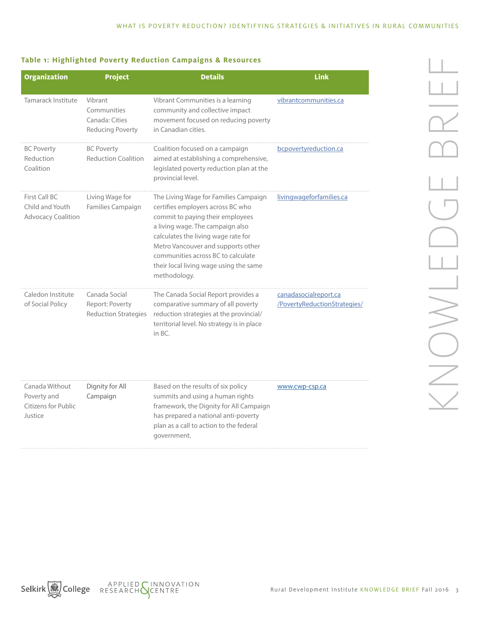### **Table 1: Highlighted Poverty Reduction Campaigns & Resources**

| <b>Organization</b>                                             | <b>Project</b>                                                      | <b>Details</b>                                                                                                                                                                                                                                                                                                                  | <b>Link</b>                                           |
|-----------------------------------------------------------------|---------------------------------------------------------------------|---------------------------------------------------------------------------------------------------------------------------------------------------------------------------------------------------------------------------------------------------------------------------------------------------------------------------------|-------------------------------------------------------|
| Tamarack Institute                                              | Vibrant<br>Communities<br>Canada: Cities<br><b>Reducing Poverty</b> | Vibrant Communities is a learning<br>community and collective impact<br>movement focused on reducing poverty<br>in Canadian cities.                                                                                                                                                                                             | vibrantcommunities.ca                                 |
| <b>BC Poverty</b><br>Reduction<br>Coalition                     | <b>BC Poverty</b><br><b>Reduction Coalition</b>                     | Coalition focused on a campaign<br>aimed at establishing a comprehensive,<br>legislated poverty reduction plan at the<br>provincial level.                                                                                                                                                                                      | bcpovertyreduction.ca                                 |
| First Call BC<br>Child and Youth<br><b>Advocacy Coalition</b>   | Living Wage for<br>Families Campaign                                | The Living Wage for Families Campaign<br>certifies employers across BC who<br>commit to paying their employees<br>a living wage. The campaign also<br>calculates the living wage rate for<br>Metro Vancouver and supports other<br>communities across BC to calculate<br>their local living wage using the same<br>methodology. | livingwageforfamilies.ca                              |
| Caledon Institute<br>of Social Policy                           | Canada Social<br>Report: Poverty<br><b>Reduction Strategies</b>     | The Canada Social Report provides a<br>comparative summary of all poverty<br>reduction strategies at the provincial/<br>territorial level. No strategy is in place<br>in BC.                                                                                                                                                    | canadasocialreport.ca<br>/PovertyReductionStrategies/ |
| Canada Without<br>Poverty and<br>Citizens for Public<br>Justice | Dignity for All<br>Campaign                                         | Based on the results of six policy<br>summits and using a human rights<br>framework, the Dignity for All Campaign<br>has prepared a national anti-poverty<br>plan as a call to action to the federal<br>government.                                                                                                             | www.cwp-csp.ca                                        |